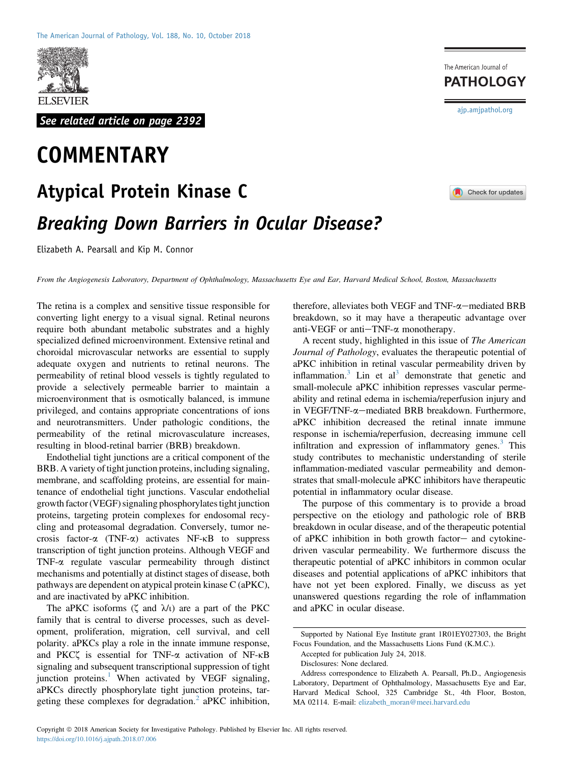

See related article on page 2392

# **COMMENTARY**

# Atypical Protein Kinase C

# Breaking Down Barriers in Ocular Disease?

Elizabeth A. Pearsall and Kip M. Connor

From the Angiogenesis Laboratory, Department of Ophthalmology, Massachusetts Eye and Ear, Harvard Medical School, Boston, Massachusetts

The retina is a complex and sensitive tissue responsible for converting light energy to a visual signal. Retinal neurons require both abundant metabolic substrates and a highly specialized defined microenvironment. Extensive retinal and choroidal microvascular networks are essential to supply adequate oxygen and nutrients to retinal neurons. The permeability of retinal blood vessels is tightly regulated to provide a selectively permeable barrier to maintain a microenvironment that is osmotically balanced, is immune privileged, and contains appropriate concentrations of ions and neurotransmitters. Under pathologic conditions, the permeability of the retinal microvasculature increases, resulting in blood-retinal barrier (BRB) breakdown.

Endothelial tight junctions are a critical component of the BRB. A variety of tight junction proteins, including signaling, membrane, and scaffolding proteins, are essential for maintenance of endothelial tight junctions. Vascular endothelial growth factor (VEGF) signaling phosphorylates tight junction proteins, targeting protein complexes for endosomal recycling and proteasomal degradation. Conversely, tumor necrosis factor- $\alpha$  (TNF- $\alpha$ ) activates NF- $\kappa$ B to suppress transcription of tight junction proteins. Although VEGF and TNF-a regulate vascular permeability through distinct mechanisms and potentially at distinct stages of disease, both pathways are dependent on atypical protein kinase C (aPKC), and are inactivated by aPKC inhibition.

The aPKC isoforms  $(\zeta$  and  $\lambda/\iota$ ) are a part of the PKC family that is central to diverse processes, such as development, proliferation, migration, cell survival, and cell polarity. aPKCs play a role in the innate immune response, and PKC $\zeta$  is essential for TNF- $\alpha$  activation of NF- $\kappa$ B signaling and subsequent transcriptional suppression of tight junction proteins.<sup>[1](#page-4-0)</sup> When activated by VEGF signaling, aPKCs directly phosphorylate tight junction proteins, tar-geting these complexes for degradation.<sup>[2](#page-4-1)</sup> aPKC inhibition,

therefore, alleviates both VEGF and TNF- $\alpha$ -mediated BRB breakdown, so it may have a therapeutic advantage over anti-VEGF or anti $-TNF-\alpha$  monotherapy.

A recent study, highlighted in this issue of The American Journal of Pathology, evaluates the therapeutic potential of aPKC inhibition in retinal vascular permeability driven by inflammation. $3$  Lin et al<sup>3</sup> demonstrate that genetic and small-molecule aPKC inhibition represses vascular permeability and retinal edema in ischemia/reperfusion injury and in VEGF/TNF- $\alpha$ -mediated BRB breakdown. Furthermore, aPKC inhibition decreased the retinal innate immune response in ischemia/reperfusion, decreasing immune cell infiltration and expression of inflammatory genes. $3$  This study contributes to mechanistic understanding of sterile inflammation-mediated vascular permeability and demonstrates that small-molecule aPKC inhibitors have therapeutic potential in inflammatory ocular disease.

The purpose of this commentary is to provide a broad perspective on the etiology and pathologic role of BRB breakdown in ocular disease, and of the therapeutic potential of aPKC inhibition in both growth factor- and cytokinedriven vascular permeability. We furthermore discuss the therapeutic potential of aPKC inhibitors in common ocular diseases and potential applications of aPKC inhibitors that have not yet been explored. Finally, we discuss as yet unanswered questions regarding the role of inflammation and aPKC in ocular disease.

Supported by National Eye Institute grant 1R01EY027303, the Bright Focus Foundation, and the Massachusetts Lions Fund (K.M.C.).

Accepted for publication July 24, 2018.

Disclosures: None declared.

Check for updates

The American Journal of **PATHOLOGY** 

[ajp.amjpathol.org](http://ajp.amjpathol.org)

Address correspondence to Elizabeth A. Pearsall, Ph.D., Angiogenesis Laboratory, Department of Ophthalmology, Massachusetts Eye and Ear, Harvard Medical School, 325 Cambridge St., 4th Floor, Boston, MA 02114. E-mail: [elizabeth\\_moran@meei.harvard.edu](mailto:elizabeth_moran@meei.harvard.edu)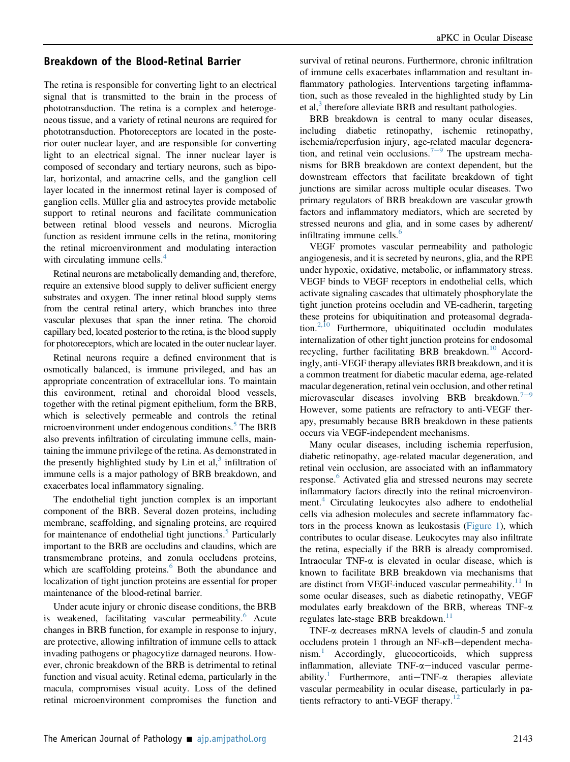### Breakdown of the Blood-Retinal Barrier

The retina is responsible for converting light to an electrical signal that is transmitted to the brain in the process of phototransduction. The retina is a complex and heterogeneous tissue, and a variety of retinal neurons are required for phototransduction. Photoreceptors are located in the posterior outer nuclear layer, and are responsible for converting light to an electrical signal. The inner nuclear layer is composed of secondary and tertiary neurons, such as bipolar, horizontal, and amacrine cells, and the ganglion cell layer located in the innermost retinal layer is composed of ganglion cells. Müller glia and astrocytes provide metabolic support to retinal neurons and facilitate communication between retinal blood vessels and neurons. Microglia function as resident immune cells in the retina, monitoring the retinal microenvironment and modulating interaction with circulating immune cells. $4$ 

Retinal neurons are metabolically demanding and, therefore, require an extensive blood supply to deliver sufficient energy substrates and oxygen. The inner retinal blood supply stems from the central retinal artery, which branches into three vascular plexuses that span the inner retina. The choroid capillary bed, located posterior to the retina, is the blood supply for photoreceptors, which are located in the outer nuclear layer.

Retinal neurons require a defined environment that is osmotically balanced, is immune privileged, and has an appropriate concentration of extracellular ions. To maintain this environment, retinal and choroidal blood vessels, together with the retinal pigment epithelium, form the BRB, which is selectively permeable and controls the retinal microenvironment under endogenous conditions.<sup>[5](#page-4-4)</sup> The BRB also prevents infiltration of circulating immune cells, maintaining the immune privilege of the retina. As demonstrated in the presently highlighted study by Lin et al, $3$  infiltration of immune cells is a major pathology of BRB breakdown, and exacerbates local inflammatory signaling.

The endothelial tight junction complex is an important component of the BRB. Several dozen proteins, including membrane, scaffolding, and signaling proteins, are required for maintenance of endothelial tight junctions.<sup>[5](#page-4-4)</sup> Particularly important to the BRB are occludins and claudins, which are transmembrane proteins, and zonula occludens proteins, which are scaffolding proteins.<sup>[6](#page-4-5)</sup> Both the abundance and localization of tight junction proteins are essential for proper maintenance of the blood-retinal barrier.

Under acute injury or chronic disease conditions, the BRB is weakened, facilitating vascular permeability.<sup>[6](#page-4-5)</sup> Acute changes in BRB function, for example in response to injury, are protective, allowing infiltration of immune cells to attack invading pathogens or phagocytize damaged neurons. However, chronic breakdown of the BRB is detrimental to retinal function and visual acuity. Retinal edema, particularly in the macula, compromises visual acuity. Loss of the defined retinal microenvironment compromises the function and

survival of retinal neurons. Furthermore, chronic infiltration of immune cells exacerbates inflammation and resultant inflammatory pathologies. Interventions targeting inflammation, such as those revealed in the highlighted study by Lin et al, $3$  therefore alleviate BRB and resultant pathologies.

BRB breakdown is central to many ocular diseases, including diabetic retinopathy, ischemic retinopathy, ischemia/reperfusion injury, age-related macular degenera-tion, and retinal vein occlusions.<sup>[7](#page-4-6)-[9](#page-4-6)</sup> The upstream mechanisms for BRB breakdown are context dependent, but the downstream effectors that facilitate breakdown of tight junctions are similar across multiple ocular diseases. Two primary regulators of BRB breakdown are vascular growth factors and inflammatory mediators, which are secreted by stressed neurons and glia, and in some cases by adherent/ infiltrating immune cells.<sup>[6](#page-4-5)</sup>

VEGF promotes vascular permeability and pathologic angiogenesis, and it is secreted by neurons, glia, and the RPE under hypoxic, oxidative, metabolic, or inflammatory stress. VEGF binds to VEGF receptors in endothelial cells, which activate signaling cascades that ultimately phosphorylate the tight junction proteins occludin and VE-cadherin, targeting these proteins for ubiquitination and proteasomal degrada-tion.<sup>[2,10](#page-4-1)</sup> Furthermore, ubiquitinated occludin modulates internalization of other tight junction proteins for endosomal recycling, further facilitating BRB breakdown.<sup>[10](#page-4-7)</sup> Accordingly, anti-VEGF therapy alleviates BRB breakdown, and it is a common treatment for diabetic macular edema, age-related macular degeneration, retinal vein occlusion, and other retinal microvascular diseases involving BRB breakdown. $7-9$  $7-9$  $7-9$ However, some patients are refractory to anti-VEGF therapy, presumably because BRB breakdown in these patients occurs via VEGF-independent mechanisms.

Many ocular diseases, including ischemia reperfusion, diabetic retinopathy, age-related macular degeneration, and retinal vein occlusion, are associated with an inflammatory response.<sup>[6](#page-4-5)</sup> Activated glia and stressed neurons may secrete inflammatory factors directly into the retinal microenviron-ment.<sup>[4](#page-4-3)</sup> Circulating leukocytes also adhere to endothelial cells via adhesion molecules and secrete inflammatory factors in the process known as leukostasis [\(Figure 1](#page-2-0)), which contributes to ocular disease. Leukocytes may also infiltrate the retina, especially if the BRB is already compromised. Intraocular TNF- $\alpha$  is elevated in ocular disease, which is known to facilitate BRB breakdown via mechanisms that are distinct from VEGF-induced vascular permeability. $11$  In some ocular diseases, such as diabetic retinopathy, VEGF modulates early breakdown of the BRB, whereas TNF-a regulates late-stage BRB breakdown.<sup>[11](#page-4-8)</sup>

TNF-a decreases mRNA levels of claudin-5 and zonula occludens protein 1 through an NF-KB-dependent mecha-nism.<sup>[1](#page-4-0)</sup> Accordingly, glucocorticoids, which suppress inflammation, alleviate  $TNF-\alpha$ -induced vascular perme-ability.<sup>[1](#page-4-0)</sup> Furthermore, anti-TNF- $\alpha$  therapies alleviate vascular permeability in ocular disease, particularly in pa-tients refractory to anti-VEGF therapy.<sup>[12](#page-4-9)</sup>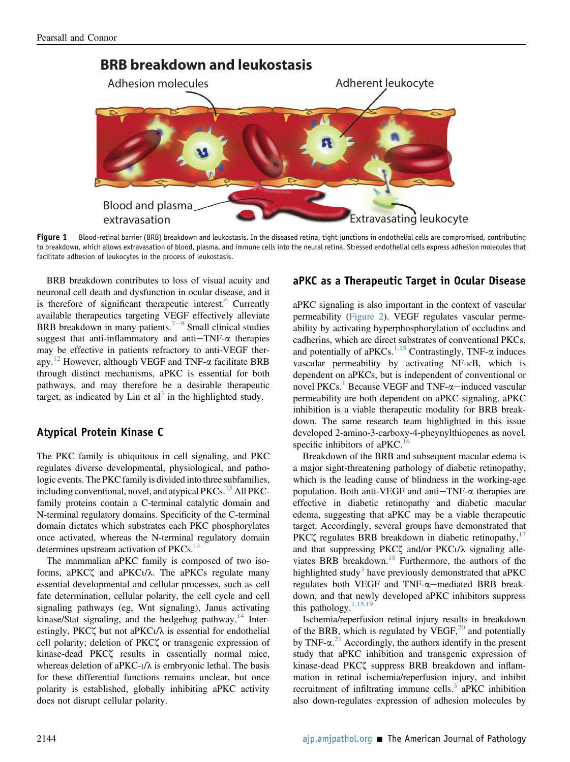<span id="page-2-0"></span>

Figure 1 Blood-retinal barrier (BRB) breakdown and leukostasis. In the diseased retina, tight junctions in endothelial cells are compromised, contributing to breakdown, which allows extravasation of blood, plasma, and immune cells into the neural retina. Stressed endothelial cells express adhesion molecules that facilitate adhesion of leukocytes in the process of leukostasis.

BRB breakdown contributes to loss of visual acuity and neuronal cell death and dysfunction in ocular disease, and it is therefore of significant therapeutic interest.<sup>[6](#page-4-5)</sup> Currently available therapeutics targeting VEGF effectively alleviate BRB breakdown in many patients.<sup> $7-9$  $7-9$  $7-9$ </sup> Small clinical studies suggest that anti-inflammatory and anti $-TNF-\alpha$  therapies may be effective in patients refractory to anti-VEGF therapy.[12](#page-4-9) However, although VEGF and TNF-a facilitate BRB through distinct mechanisms, aPKC is essential for both pathways, and may therefore be a desirable therapeutic target, as indicated by Lin et  $al<sup>3</sup>$  $al<sup>3</sup>$  $al<sup>3</sup>$  in the highlighted study.

## Atypical Protein Kinase C

The PKC family is ubiquitous in cell signaling, and PKC regulates diverse developmental, physiological, and pathologic events. The PKC family is divided into three subfamilies, including conventional, novel, and atypical  $PKCs$ <sup>13</sup> All PKCfamily proteins contain a C-terminal catalytic domain and N-terminal regulatory domains. Specificity of the C-terminal domain dictates which substrates each PKC phosphorylates once activated, whereas the N-terminal regulatory domain determines upstream activation of PKCs.<sup>14</sup>

The mammalian aPKC family is composed of two isoforms, aPKC $\zeta$  and aPKC $\iota/\lambda$ . The aPKCs regulate many essential developmental and cellular processes, such as cell fate determination, cellular polarity, the cell cycle and cell signaling pathways (eg, Wnt signaling), Janus activating kinase/Stat signaling, and the hedgehog pathway.<sup>[14](#page-4-11)</sup> Interestingly, PKC $\zeta$  but not aPKC $\iota/\lambda$  is essential for endothelial cell polarity; deletion of PKC $\zeta$  or transgenic expression of kinase-dead PKCz results in essentially normal mice, whereas deletion of aPKC- $\iota/\lambda$  is embryonic lethal. The basis for these differential functions remains unclear, but once polarity is established, globally inhibiting aPKC activity does not disrupt cellular polarity.

### aPKC as a Therapeutic Target in Ocular Disease

aPKC signaling is also important in the context of vascular permeability [\(Figure 2\)](#page-3-0). VEGF regulates vascular permeability by activating hyperphosphorylation of occludins and cadherins, which are direct substrates of conventional PKCs, and potentially of aPKCs.<sup>[1,15](#page-4-0)</sup> Contrastingly, TNF- $\alpha$  induces vascular permeability by activating NF-kB, which is dependent on aPKCs, but is independent of conventional or novel PKCs.<sup>[1](#page-4-0)</sup> Because VEGF and TNF- $\alpha$ -induced vascular permeability are both dependent on aPKC signaling, aPKC inhibition is a viable therapeutic modality for BRB breakdown. The same research team highlighted in this issue developed 2-amino-3-carboxy-4-pheynylthiopenes as novel, specific inhibitors of aPKC.<sup>[16](#page-4-12)</sup>

Breakdown of the BRB and subsequent macular edema is a major sight-threatening pathology of diabetic retinopathy, which is the leading cause of blindness in the working-age population. Both anti-VEGF and anti $-TNF-\alpha$  therapies are effective in diabetic retinopathy and diabetic macular edema, suggesting that aPKC may be a viable therapeutic target. Accordingly, several groups have demonstrated that PKC $\zeta$  regulates BRB breakdown in diabetic retinopathy,<sup>[17](#page-4-13)</sup> and that suppressing PKC $\zeta$  and/or PKC $\iota/\lambda$  signaling alle-viates BRB breakdown.<sup>[18](#page-4-14)</sup> Furthermore, the authors of the highlighted study<sup>[3](#page-4-2)</sup> have previously demonstrated that aPKC regulates both VEGF and TNF- $\alpha$ -mediated BRB breakdown, and that newly developed aPKC inhibitors suppress this pathology.<sup>[1,15,19](#page-4-0)</sup>

Ischemia/reperfusion retinal injury results in breakdown of the BRB, which is regulated by  $VEGF<sub>1</sub><sup>20</sup>$  $VEGF<sub>1</sub><sup>20</sup>$  $VEGF<sub>1</sub><sup>20</sup>$  and potentially by TNF- $\alpha$ <sup>[21](#page-4-16)</sup> Accordingly, the authors identify in the present study that aPKC inhibition and transgenic expression of kinase-dead PKC $\zeta$  suppress BRB breakdown and inflammation in retinal ischemia/reperfusion injury, and inhibit recruitment of infiltrating immune cells. $3$  aPKC inhibition also down-regulates expression of adhesion molecules by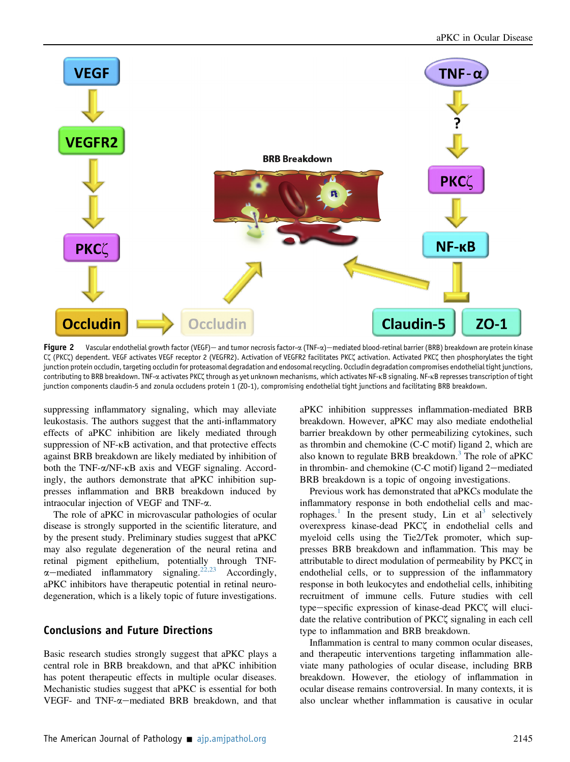<span id="page-3-0"></span>

Figure 2 Vascular endothelial growth factor (VEGF) — and tumor necrosis factor- $\alpha$  (TNF- $\alpha$ ) — mediated blood-retinal barrier (BRB) breakdown are protein kinase Cζ (PKCζ) dependent. VEGF activates VEGF receptor 2 (VEGFR2). Activation of VEGFR2 facilitates PKCζ activation. Activated PKCζ then phosphorylates the tight junction protein occludin, targeting occludin for proteasomal degradation and endosomal recycling. Occludin degradation compromises endothelial tight junctions, contributing to BRB breakdown. TNF-a activates PKCζ through as yet unknown mechanisms, which activates NF-kB signaling. NF-kB represses transcription of tight junction components claudin-5 and zonula occludens protein 1 (ZO-1), compromising endothelial tight junctions and facilitating BRB breakdown.

suppressing inflammatory signaling, which may alleviate leukostasis. The authors suggest that the anti-inflammatory effects of aPKC inhibition are likely mediated through suppression of NF- $\kappa$ B activation, and that protective effects against BRB breakdown are likely mediated by inhibition of both the TNF- $\alpha$ /NF-KB axis and VEGF signaling. Accordingly, the authors demonstrate that aPKC inhibition suppresses inflammation and BRB breakdown induced by intraocular injection of VEGF and TNF-a.

The role of aPKC in microvascular pathologies of ocular disease is strongly supported in the scientific literature, and by the present study. Preliminary studies suggest that aPKC may also regulate degeneration of the neural retina and retinal pigment epithelium, potentially through TNF- $\alpha$ -mediated inflammatory signaling.<sup>[22,23](#page-4-17)</sup> Accordingly, aPKC inhibitors have therapeutic potential in retinal neurodegeneration, which is a likely topic of future investigations.

#### Conclusions and Future Directions

Basic research studies strongly suggest that aPKC plays a central role in BRB breakdown, and that aPKC inhibition has potent therapeutic effects in multiple ocular diseases. Mechanistic studies suggest that aPKC is essential for both VEGF- and  $TNF-\alpha$ -mediated BRB breakdown, and that aPKC inhibition suppresses inflammation-mediated BRB breakdown. However, aPKC may also mediate endothelial barrier breakdown by other permeabilizing cytokines, such as thrombin and chemokine (C-C motif) ligand 2, which are also known to regulate BRB breakdown.<sup>[3](#page-4-2)</sup> The role of aPKC in thrombin- and chemokine (C-C motif) ligand 2-mediated BRB breakdown is a topic of ongoing investigations.

Previous work has demonstrated that aPKCs modulate the inflammatory response in both endothelial cells and mac-rophages.<sup>[1](#page-4-0)</sup> In the present study, Lin et al<sup>[3](#page-4-2)</sup> selectively overexpress kinase-dead PKCz in endothelial cells and myeloid cells using the Tie2/Tek promoter, which suppresses BRB breakdown and inflammation. This may be attributable to direct modulation of permeability by PKC $\zeta$  in endothelial cells, or to suppression of the inflammatory response in both leukocytes and endothelial cells, inhibiting recruitment of immune cells. Future studies with cell type-specific expression of kinase-dead PKCZ will elucidate the relative contribution of PKC $\zeta$  signaling in each cell type to inflammation and BRB breakdown.

Inflammation is central to many common ocular diseases, and therapeutic interventions targeting inflammation alleviate many pathologies of ocular disease, including BRB breakdown. However, the etiology of inflammation in ocular disease remains controversial. In many contexts, it is also unclear whether inflammation is causative in ocular